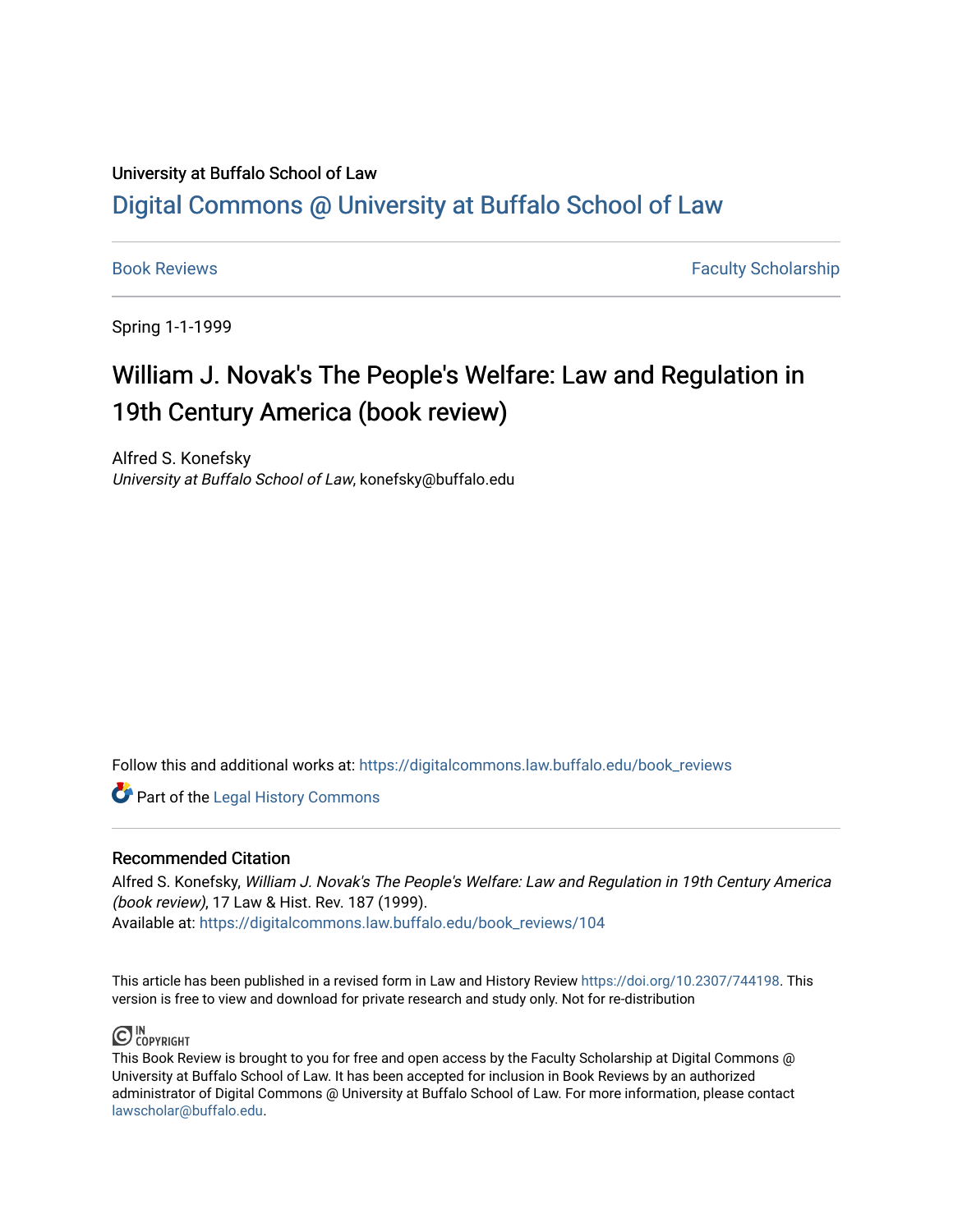## University at Buffalo School of Law [Digital Commons @ University at Buffalo School of Law](https://digitalcommons.law.buffalo.edu/)

[Book Reviews](https://digitalcommons.law.buffalo.edu/book_reviews) Faculty Scholarship

Spring 1-1-1999

# William J. Novak's The People's Welfare: Law and Regulation in 19th Century America (book review)

Alfred S. Konefsky University at Buffalo School of Law, konefsky@buffalo.edu

Follow this and additional works at: [https://digitalcommons.law.buffalo.edu/book\\_reviews](https://digitalcommons.law.buffalo.edu/book_reviews?utm_source=digitalcommons.law.buffalo.edu%2Fbook_reviews%2F104&utm_medium=PDF&utm_campaign=PDFCoverPages) 

**Part of the [Legal History Commons](http://network.bepress.com/hgg/discipline/904?utm_source=digitalcommons.law.buffalo.edu%2Fbook_reviews%2F104&utm_medium=PDF&utm_campaign=PDFCoverPages)** 

### Recommended Citation

Alfred S. Konefsky, William J. Novak's The People's Welfare: Law and Regulation in 19th Century America (book review), 17 Law & Hist. Rev. 187 (1999). Available at: [https://digitalcommons.law.buffalo.edu/book\\_reviews/104](https://digitalcommons.law.buffalo.edu/book_reviews/104?utm_source=digitalcommons.law.buffalo.edu%2Fbook_reviews%2F104&utm_medium=PDF&utm_campaign=PDFCoverPages) 

This article has been published in a revised form in Law and History Review <https://doi.org/10.2307/744198>. This version is free to view and download for private research and study only. Not for re-distribution



This Book Review is brought to you for free and open access by the Faculty Scholarship at Digital Commons @ University at Buffalo School of Law. It has been accepted for inclusion in Book Reviews by an authorized administrator of Digital Commons @ University at Buffalo School of Law. For more information, please contact [lawscholar@buffalo.edu](mailto:lawscholar@buffalo.edu).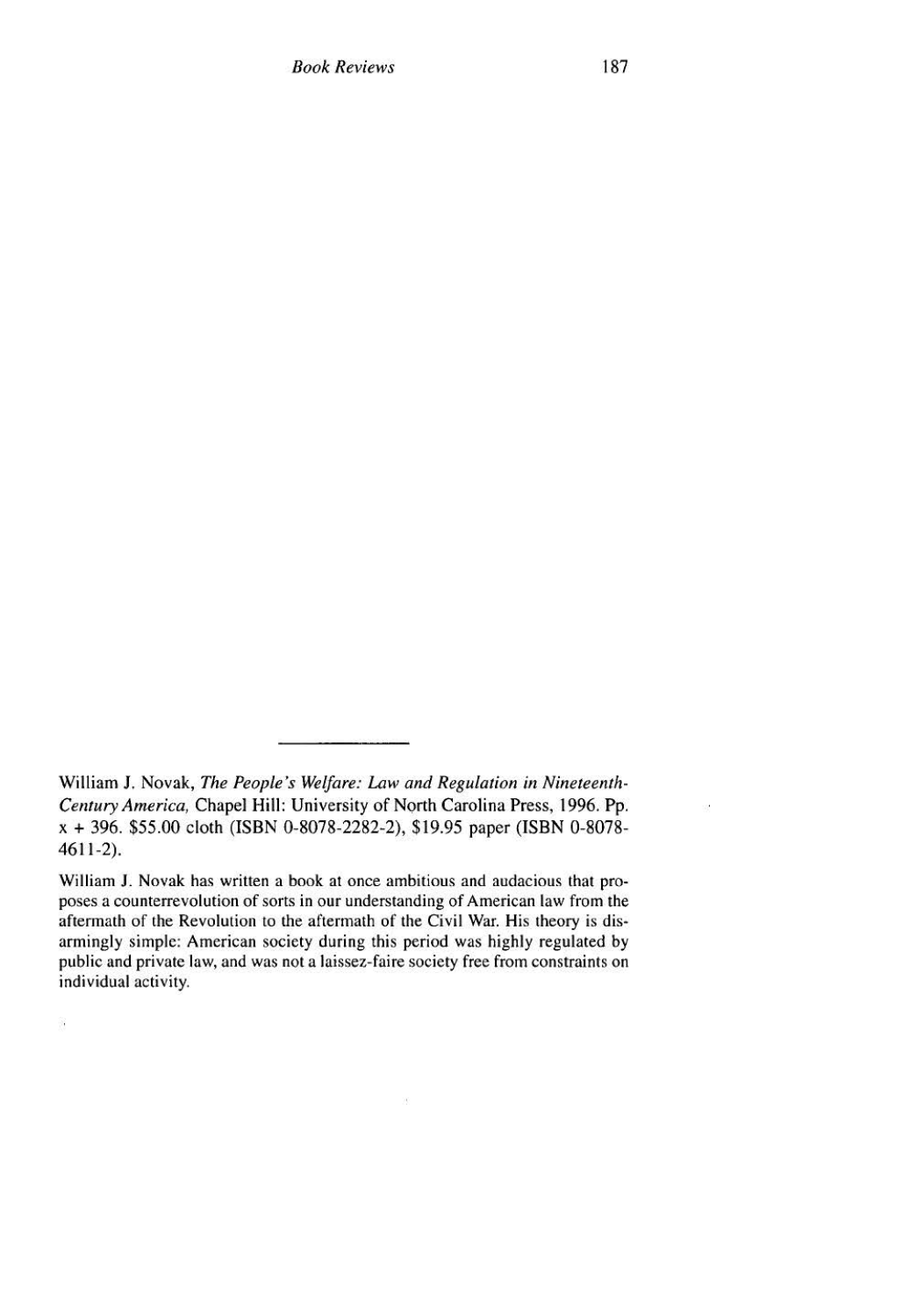Book Reviews 187

William **J.** Novak, *The People's Welfare: Law and Regulation in Nineteenth-Century America,* Chapel **Hill:** University of North Carolina Press, 1996. Pp. x + 396. \$55.00 cloth (ISBN 0-8078-2282-2), \$19.95 paper (ISBN 0-8078- 4611-2).

William **J.** Novak has written a book at once ambitious and audacious that proposes a counterrevolution of sorts in our understanding of American law from the aftermath of the Revolution to the aftermath of the Civil War. His theory is disarmingly simple: American society during this period was highly regulated by public and private law, and was not a laissez-faire society free from constraints on individual activity.

9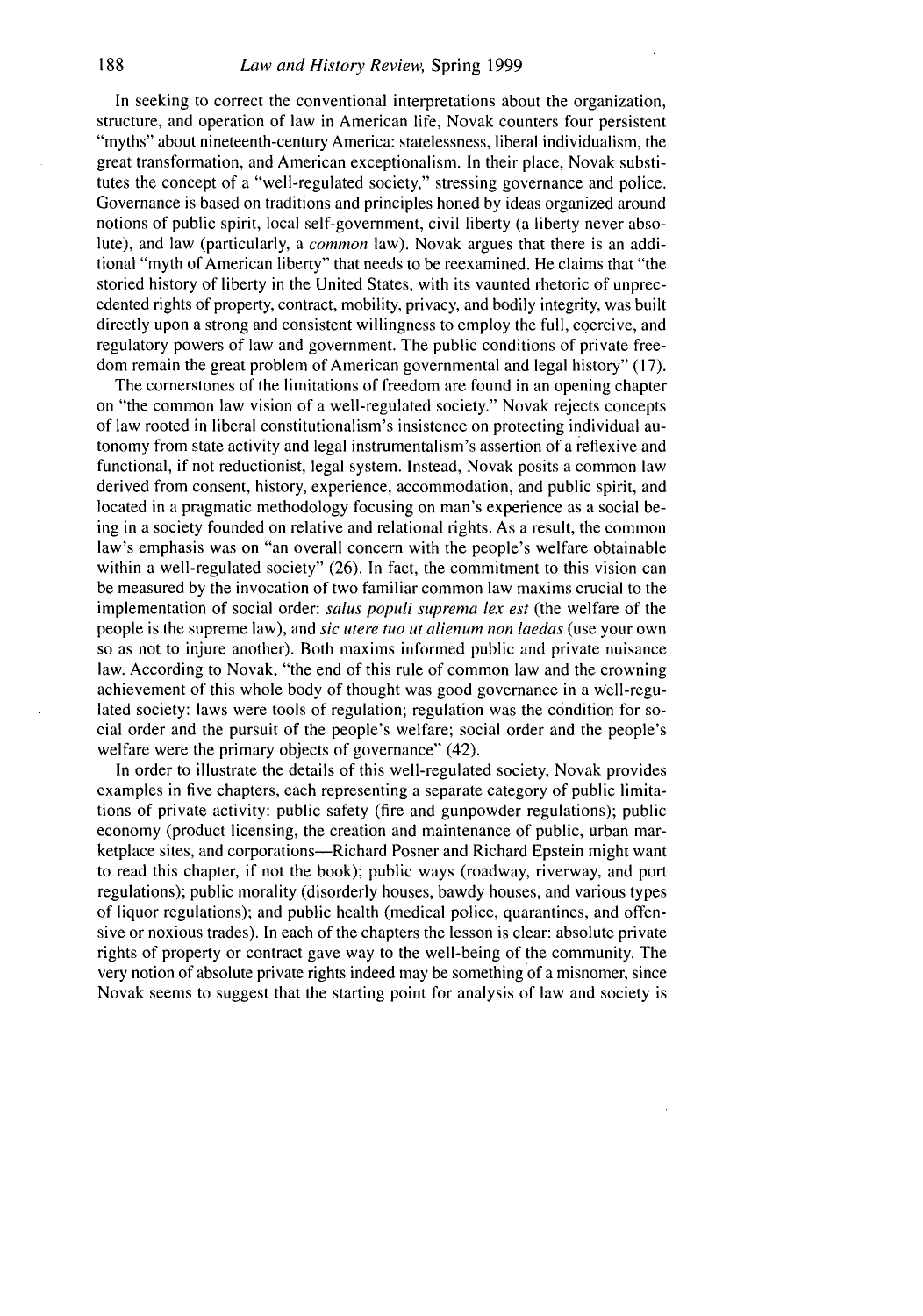#### 188 *Law and History Review,* Spring 1999

In seeking to correct the conventional interpretations about the organization, structure, and operation of law in American life, Novak counters four persistent "myths" about nineteenth-century America: statelessness, liberal individualism, the great transformation, and American exceptionalism. In their place, Novak substitutes the concept of a "well-regulated society," stressing governance and police. Governance is based on traditions and principles honed by ideas organized around notions of public spirit, local self-government, civil liberty (a liberty never absolute), and law (particularly, a *common* law). Novak argues that there is an additional "myth of American liberty" that needs to be reexamined. He claims that "the storied history of liberty in the United States, with its vaunted rhetoric of unprecedented rights of property, contract, mobility, privacy, and bodily integrity, was built directly upon a strong and consistent willingness to employ the full, coercive, and regulatory powers of law and government. The public conditions of private freedom remain the great problem of American governmental and legal history" ( 17).

The cornerstones of the limitations of freedom are found in an opening chapter on "the common law vision of a well-regulated society." Novak rejects concepts of law rooted in liberal constitutionalism's insistence on protecting individual autonomy from state activity and legal instrumentalism's assertion of a reflexive and functional, if not reductionist, legal system. Instead, Novak posits a common law derived from consent, history, experience, accommodation, and public spirit, and located in a pragmatic methodology focusing on man's experience as a social being in a society founded on relative and relational rights. As a result, the common law's emphasis was on "an overall concern with the people's welfare obtainable within a well-regulated society" (26). In fact, the commitment to this vision can be measured by the invocation of two familiar common law maxims crucial to the implementation of social order: *salus populi suprema lex est* (the welfare of the people is the supreme law), and *sic utere tuo ut alienum non laedas* (use your own so as not to injure another). Both maxims informed public and private nuisance law. According to Novak, "the end of this rule of common law and the crowning achievement of this whole body of thought was good governance in a well-regulated society: laws were tools of regulation; regulation was the condition for social order and the pursuit of the people's welfare; social order and the people's welfare were the primary objects of governance" (42).

In order to illustrate the details of this well-regulated society, Novak provides examples in five chapters, each representing a separate category of public limitations of private activity: public safety (fire and gunpowder regulations); public economy (product licensing, the creation and maintenance of public, urban marketplace sites, and corporations-Richard Posner and Richard Epstein might want to read this chapter, if not the book); public ways (roadway, riverway, and port regulations); public morality (disorderly houses, bawdy houses, and various types of liquor regulations); and public health (medical police, quarantines, and offensive or noxious trades). In each of the chapters the lesson is clear: absolute private rights of property or contract gave way to the well-being of the community. The very notion of absolute private rights indeed may be something of a misnomer, since Novak seems to suggest that the starting point for analysis of law and society is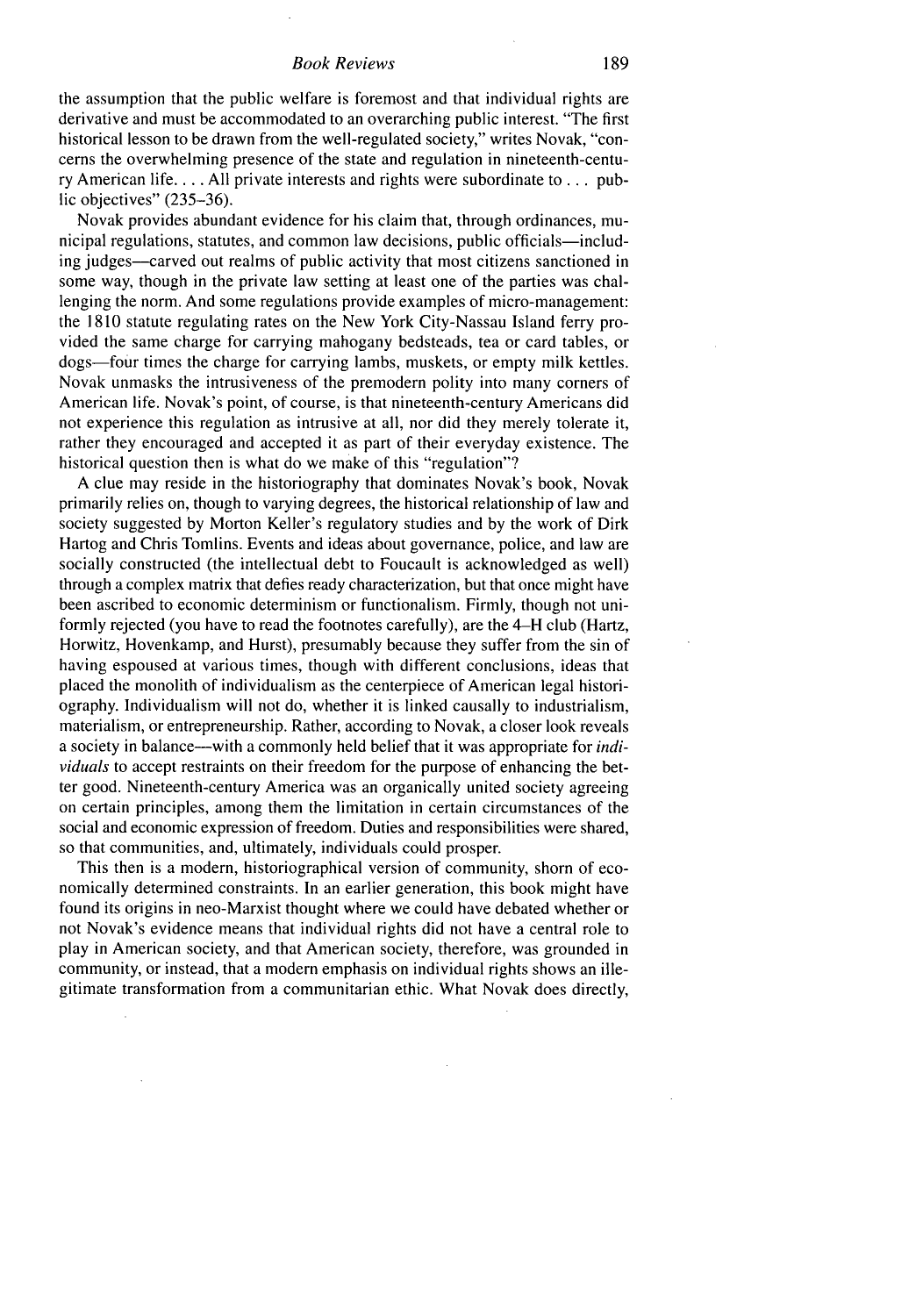the assumption that the public welfare is foremost and that individual rights are derivative and must be accommodated to an overarching public interest. "The first historical lesson to be drawn from the well-regulated society," writes Novak, "concerns the overwhelming presence of the state and regulation in nineteenth-century American life.... All private interests and rights were subordinate to  $\dots$  public objectives" (235-36).

Novak provides abundant evidence for his claim that, through ordinances, municipal regulations, statutes, and common law decisions, public officials—including judges-carved out realms of public activity that most citizens sanctioned in some way, though in the private law setting at least one of the parties was challenging the norm. And some regulations provide examples of micro-management: the 1810 statute regulating rates on the New York City-Nassau Island ferry provided the same charge for carrying mahogany bedsteads, tea or card tables, or dogs-four times the charge for carrying lambs, muskets, or empty milk kettles. Novak unmasks the intrusiveness of the premodern polity into many corners of American life. Novak's point, of course, is that nineteenth-century Americans did not experience this regulation as intrusive at all, nor did they merely tolerate it, rather they encouraged and accepted it as part of their everyday existence. The historical question then is what do we make of this "regulation"?

A clue may reside in the historiography that dominates Novak's book, Novak primarily relies on, though to varying degrees, the historical relationship of law and society suggested by Morton Keller's regulatory studies and by the work of Dirk Hartog and Chris Tomlins. Events and ideas about governance, police, and law are socially constructed (the intellectual debt to Foucault is acknowledged as well) through a complex matrix that defies ready characterization, but that once might have been ascribed to economic determinism or functionalism. Firmly, though not uniformly rejected (you have to read the footnotes carefully), are the 4-H club (Hartz, Horwitz, Hovenkamp, and Hurst), presumably because they suffer from the sin of having espoused at various times, though with different conclusions, ideas that placed the monolith of individualism as the centerpiece of American legal historiography. Individualism will not do, whether it is linked causally to industrialism, materialism, or entrepreneurship. Rather, according to Novak, a closer look reveals a society in balance-with a commonly held belief that it was appropriate for *individuals* to accept restraints on their freedom for the purpose of enhancing the better good. Nineteenth-century America was an organically united society agreeing on certain principles, among them the limitation in certain circumstances of the social and economic expression of freedom. Duties and responsibilities were shared, so that communities, and, ultimately, individuals could prosper.

This then is a modem, historiographical version of community, shorn of economically determined constraints. In an earlier generation, this book might have found its origins in neo-Marxist thought where we could have debated whether or not Novak's evidence means that individual rights did not have a central role to play in American society, and that American society, therefore, was grounded in community, or instead, that a modem emphasis on individual rights shows an illegitimate transformation from a communitarian ethic. What Novak does directly,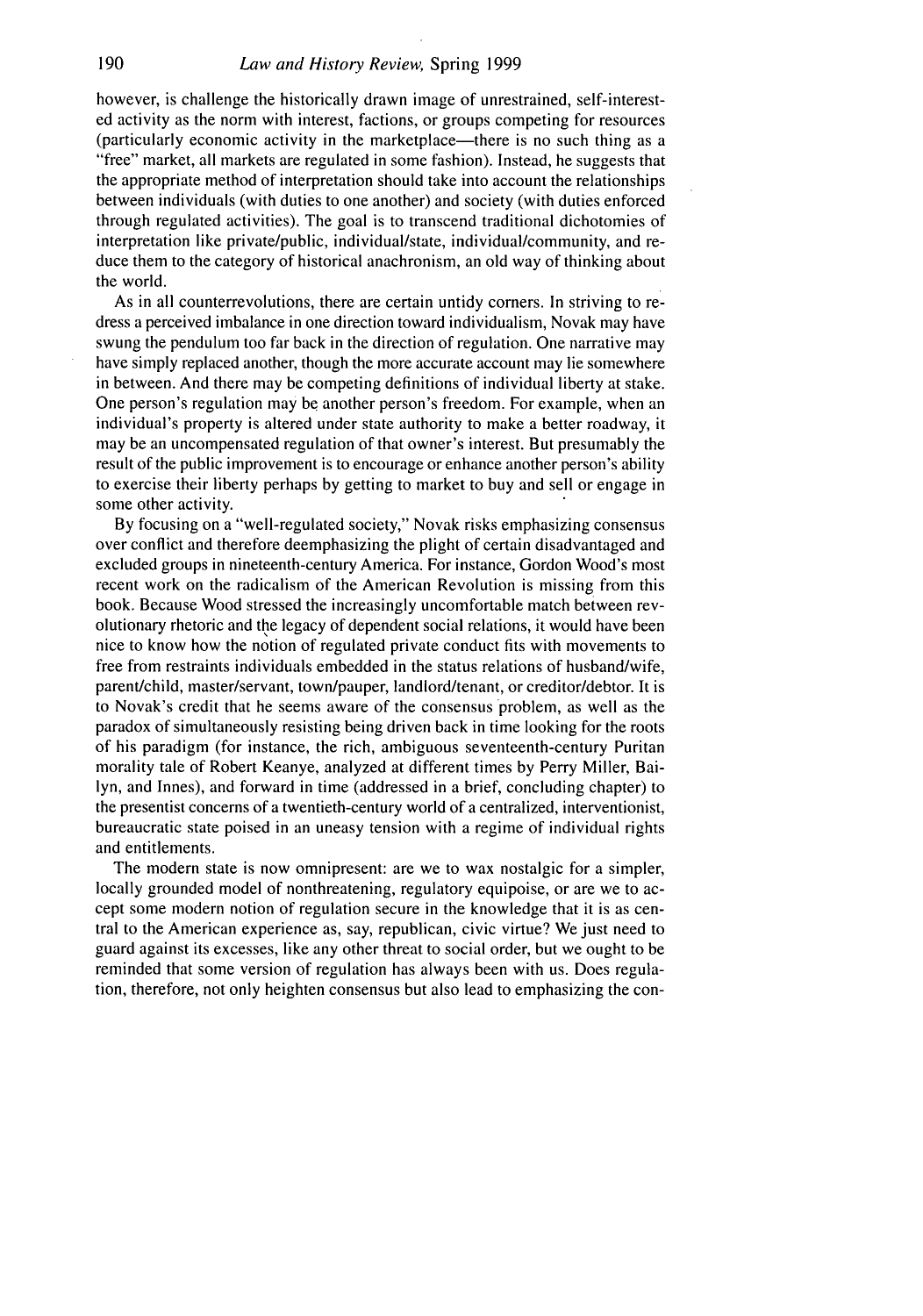however, is challenge the historically drawn image of unrestrained, self-interested activity as the norm with interest, factions, or groups competing for resources (particularly economic activity in the marketplace-there is no such thing as a "free" market, all markets are regulated in some fashion). Instead, he suggests that the appropriate method of interpretation should take into account the relationships between individuals (with duties to one another) and society (with duties enforced through regulated activities). The goal is to transcend traditional dichotomies of interpretation like private/public, individual/state, individual/community, and reduce them to the category of historical anachronism, an old way of thinking about the world.

As in all counterrevolutions, there are certain untidy corners. In striving to redress a perceived imbalance in one direction toward individualism, Novak may have swung the pendulum too far back in the direction of regulation. One narrative may have simply replaced another, though the more accurate account may lie somewhere in between. And there may be competing definitions of individual liberty at stake. One person's regulation may be another person's freedom. For example, when an individual's property is altered under state authority to make a better roadway, it may be an uncompensated regulation of that owner's interest. But presumably the result of the public improvement is to encourage or enhance another person's ability to exercise their liberty perhaps by getting to market to buy and sell or engage in some other activity.

By focusing on a "well-regulated society," Novak risks emphasizing consensus over conflict and therefore deemphasizing the plight of certain disadvantaged and excluded groups in nineteenth-century America. For instance, Gordon Wood's most recent work on the radicalism of the American Revolution is missing from this book. Because Wood stressed the increasingly uncomfortable match between revolutionary rhetoric and the legacy of dependent social relations, it would have been nice to know how the notion of regulated private conduct fits with movements to free from restraints individuals embedded in the status relations of husband/wife, parent/child, master/servant, town/pauper, landlord/tenant, or creditor/debtor. It is to Novak's credit that he seems aware of the consensus problem, as well as the paradox of simultaneously resisting being driven back in time looking for the roots of his paradigm (for instance, the rich, ambiguous seventeenth-century Puritan morality tale of Robert Keanye, analyzed at different times by Perry Miller, Bailyn, and Innes), and forward in time (addressed in a brief, concluding chapter) to the presentist concerns of a twentieth-century world of a centralized, interventionist, bureaucratic state poised in an uneasy tension with a regime of individual rights and entitlements.

The modern state is now omnipresent: are we to wax nostalgic for a simpler, locally grounded model of nonthreatening, regulatory equipoise, or are we to accept some modern notion of regulation secure in the knowledge that it is as central to the American experience as, say, republican, civic virtue? We just need to guard against its excesses, like any other threat to social order, but we ought to be reminded that some version of regulation has always been with us. Does regulation, therefore, not only heighten consensus but also lead to emphasizing the con-